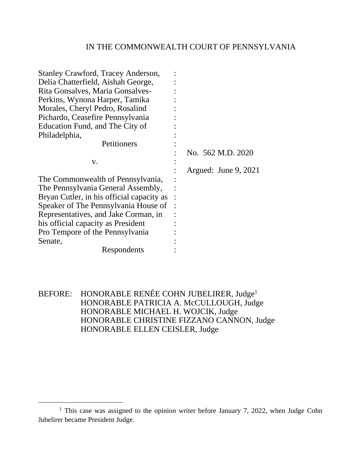## IN THE COMMONWEALTH COURT OF PENNSYLVANIA

| No. 562 M.D. 2020    |
|----------------------|
|                      |
| Argued: June 9, 2021 |
|                      |
|                      |
|                      |
|                      |
|                      |
|                      |
|                      |
|                      |
|                      |
|                      |

BEFORE: HONORABLE RENÉE COHN JUBELIRER, Judge<sup>1</sup> HONORABLE PATRICIA A. McCULLOUGH, Judge HONORABLE MICHAEL H. WOJCIK, Judge HONORABLE CHRISTINE FIZZANO CANNON, Judge HONORABLE ELLEN CEISLER, Judge

<sup>&</sup>lt;sup>1</sup> This case was assigned to the opinion writer before January 7, 2022, when Judge Cohn Jubelirer became President Judge.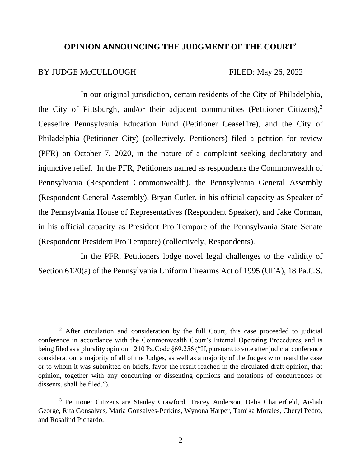# **OPINION ANNOUNCING THE JUDGMENT OF THE COURT<sup>2</sup>**

### BY JUDGE McCULLOUGH FILED: May 26, 2022

In our original jurisdiction, certain residents of the City of Philadelphia, the City of Pittsburgh, and/or their adjacent communities (Petitioner Citizens),  $3\overline{ }$ Ceasefire Pennsylvania Education Fund (Petitioner CeaseFire), and the City of Philadelphia (Petitioner City) (collectively, Petitioners) filed a petition for review (PFR) on October 7, 2020, in the nature of a complaint seeking declaratory and injunctive relief. In the PFR, Petitioners named as respondents the Commonwealth of Pennsylvania (Respondent Commonwealth), the Pennsylvania General Assembly (Respondent General Assembly), Bryan Cutler, in his official capacity as Speaker of the Pennsylvania House of Representatives (Respondent Speaker), and Jake Corman, in his official capacity as President Pro Tempore of the Pennsylvania State Senate (Respondent President Pro Tempore) (collectively, Respondents).

In the PFR, Petitioners lodge novel legal challenges to the validity of Section 6120(a) of the Pennsylvania Uniform Firearms Act of 1995 (UFA), 18 Pa.C.S.

<sup>&</sup>lt;sup>2</sup> After circulation and consideration by the full Court, this case proceeded to judicial conference in accordance with the Commonwealth Court's Internal Operating Procedures, and is being filed as a plurality opinion. 210 Pa.Code §69.256 ("If, pursuant to vote after judicial conference consideration, a majority of all of the Judges, as well as a majority of the Judges who heard the case or to whom it was submitted on briefs, favor the result reached in the circulated draft opinion, that opinion, together with any concurring or dissenting opinions and notations of concurrences or dissents, shall be filed.").

<sup>3</sup> Petitioner Citizens are Stanley Crawford, Tracey Anderson, Delia Chatterfield, Aishah George, Rita Gonsalves, Maria Gonsalves-Perkins, Wynona Harper, Tamika Morales, Cheryl Pedro, and Rosalind Pichardo.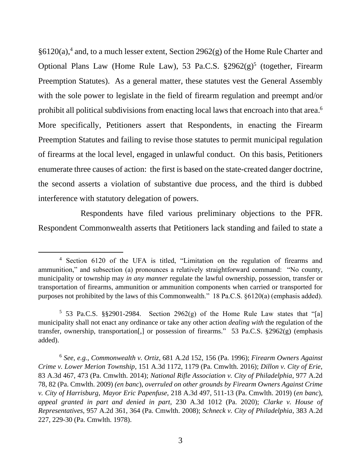§6120(a),<sup>4</sup> and, to a much lesser extent, Section 2962(g) of the Home Rule Charter and Optional Plans Law (Home Rule Law), 53 Pa.C.S. §2962(g)<sup>5</sup> (together, Firearm Preemption Statutes). As a general matter, these statutes vest the General Assembly with the sole power to legislate in the field of firearm regulation and preempt and/or prohibit all political subdivisions from enacting local laws that encroach into that area.<sup>6</sup> More specifically, Petitioners assert that Respondents, in enacting the Firearm Preemption Statutes and failing to revise those statutes to permit municipal regulation of firearms at the local level, engaged in unlawful conduct. On this basis, Petitioners enumerate three causes of action: the first is based on the state-created danger doctrine, the second asserts a violation of substantive due process, and the third is dubbed interference with statutory delegation of powers.

Respondents have filed various preliminary objections to the PFR. Respondent Commonwealth asserts that Petitioners lack standing and failed to state a

<sup>4</sup> Section 6120 of the UFA is titled, "Limitation on the regulation of firearms and ammunition," and subsection (a) pronounces a relatively straightforward command: "No county, municipality or township may *in any manner* regulate the lawful ownership, possession, transfer or transportation of firearms, ammunition or ammunition components when carried or transported for purposes not prohibited by the laws of this Commonwealth." 18 Pa.C.S. §6120(a) (emphasis added).

<sup>&</sup>lt;sup>5</sup> 53 Pa.C.S. §§2901-2984. Section 2962(g) of the Home Rule Law states that "[a] municipality shall not enact any ordinance or take any other action *dealing with* the regulation of the transfer, ownership, transportation[,] or possession of firearms." 53 Pa.C.S. §2962(g) (emphasis added).

<sup>6</sup> *See, e.g.*, *Commonwealth v. Ortiz*, 681 A.2d 152, 156 (Pa. 1996); *Firearm Owners Against Crime v. Lower Merion Township*, 151 A.3d 1172, 1179 (Pa. Cmwlth. 2016); *Dillon v. City of Erie*, 83 A.3d 467, 473 (Pa. Cmwlth. 2014); *National Rifle Association v. City of Philadelphia*, 977 A.2d 78, 82 (Pa. Cmwlth. 2009) *(en banc*), *overruled on other grounds by Firearm Owners Against Crime v. City of Harrisburg, Mayor Eric Papenfuse*, 218 A.3d 497, 511-13 (Pa. Cmwlth. 2019) (*en banc*), *appeal granted in part and denied in part*, 230 A.3d 1012 (Pa. 2020); *Clarke v. House of Representatives*, 957 A.2d 361, 364 (Pa. Cmwlth. 2008); *Schneck v. City of Philadelphia*, 383 A.2d 227, 229-30 (Pa. Cmwlth. 1978).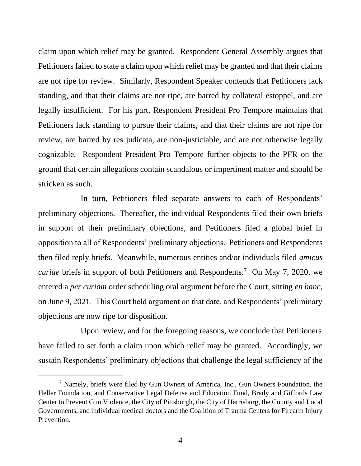claim upon which relief may be granted. Respondent General Assembly argues that Petitioners failed to state a claim upon which relief may be granted and that their claims are not ripe for review. Similarly, Respondent Speaker contends that Petitioners lack standing, and that their claims are not ripe, are barred by collateral estoppel, and are legally insufficient. For his part, Respondent President Pro Tempore maintains that Petitioners lack standing to pursue their claims, and that their claims are not ripe for review, are barred by res judicata, are non-justiciable, and are not otherwise legally cognizable. Respondent President Pro Tempore further objects to the PFR on the ground that certain allegations contain scandalous or impertinent matter and should be stricken as such.

In turn, Petitioners filed separate answers to each of Respondents' preliminary objections. Thereafter, the individual Respondents filed their own briefs in support of their preliminary objections, and Petitioners filed a global brief in opposition to all of Respondents' preliminary objections. Petitioners and Respondents then filed reply briefs. Meanwhile, numerous entities and/or individuals filed *amicus curiae* briefs in support of both Petitioners and Respondents.<sup>7</sup> On May 7, 2020, we entered a *per curiam* order scheduling oral argument before the Court, sitting *en banc*, on June 9, 2021. This Court held argument on that date, and Respondents' preliminary objections are now ripe for disposition.

Upon review, and for the foregoing reasons, we conclude that Petitioners have failed to set forth a claim upon which relief may be granted. Accordingly, we sustain Respondents' preliminary objections that challenge the legal sufficiency of the

<sup>7</sup> Namely, briefs were filed by Gun Owners of America, Inc., Gun Owners Foundation, the Heller Foundation, and Conservative Legal Defense and Education Fund, Brady and Giffords Law Center to Prevent Gun Violence, the City of Pittsburgh, the City of Harrisburg, the County and Local Governments, and individual medical doctors and the Coalition of Trauma Centers for Firearm Injury Prevention.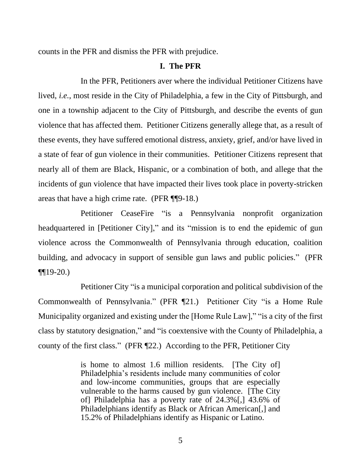counts in the PFR and dismiss the PFR with prejudice.

### **I. The PFR**

In the PFR, Petitioners aver where the individual Petitioner Citizens have lived, *i.e.*, most reside in the City of Philadelphia, a few in the City of Pittsburgh, and one in a township adjacent to the City of Pittsburgh, and describe the events of gun violence that has affected them. Petitioner Citizens generally allege that, as a result of these events, they have suffered emotional distress, anxiety, grief, and/or have lived in a state of fear of gun violence in their communities. Petitioner Citizens represent that nearly all of them are Black, Hispanic, or a combination of both, and allege that the incidents of gun violence that have impacted their lives took place in poverty-stricken areas that have a high crime rate. (PFR ¶¶9-18.)

Petitioner CeaseFire "is a Pennsylvania nonprofit organization headquartered in [Petitioner City]," and its "mission is to end the epidemic of gun violence across the Commonwealth of Pennsylvania through education, coalition building, and advocacy in support of sensible gun laws and public policies." (PFR  $\P[19-20.$ 

Petitioner City "is a municipal corporation and political subdivision of the Commonwealth of Pennsylvania." (PFR ¶21.) Petitioner City "is a Home Rule Municipality organized and existing under the [Home Rule Law]," "is a city of the first class by statutory designation," and "is coextensive with the County of Philadelphia, a county of the first class." (PFR ¶22.) According to the PFR, Petitioner City

> is home to almost 1.6 million residents. [The City of] Philadelphia's residents include many communities of color and low-income communities, groups that are especially vulnerable to the harms caused by gun violence. [The City of] Philadelphia has a poverty rate of 24.3%[,] 43.6% of Philadelphians identify as Black or African American<sup>[1]</sup>, and 15.2% of Philadelphians identify as Hispanic or Latino.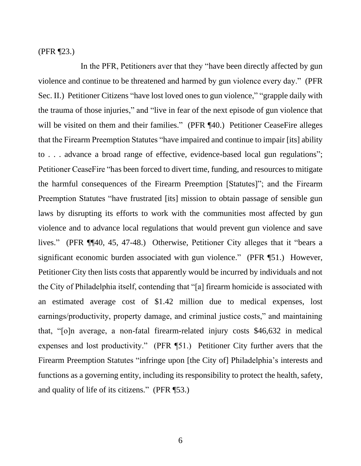(PFR ¶23.)

In the PFR, Petitioners aver that they "have been directly affected by gun violence and continue to be threatened and harmed by gun violence every day." (PFR Sec. II.) Petitioner Citizens "have lost loved ones to gun violence," "grapple daily with the trauma of those injuries," and "live in fear of the next episode of gun violence that will be visited on them and their families." (PFR ¶40.) Petitioner CeaseFire alleges that the Firearm Preemption Statutes "have impaired and continue to impair [its] ability to . . . advance a broad range of effective, evidence-based local gun regulations"; Petitioner CeaseFire "has been forced to divert time, funding, and resources to mitigate the harmful consequences of the Firearm Preemption [Statutes]"; and the Firearm Preemption Statutes "have frustrated [its] mission to obtain passage of sensible gun laws by disrupting its efforts to work with the communities most affected by gun violence and to advance local regulations that would prevent gun violence and save lives." (PFR ¶¶40, 45, 47-48.) Otherwise, Petitioner City alleges that it "bears a significant economic burden associated with gun violence." (PFR ¶51.) However, Petitioner City then lists costs that apparently would be incurred by individuals and not the City of Philadelphia itself, contending that "[a] firearm homicide is associated with an estimated average cost of \$1.42 million due to medical expenses, lost earnings/productivity, property damage, and criminal justice costs," and maintaining that, "[o]n average, a non-fatal firearm-related injury costs \$46,632 in medical expenses and lost productivity." (PFR ¶51.) Petitioner City further avers that the Firearm Preemption Statutes "infringe upon [the City of] Philadelphia's interests and functions as a governing entity, including its responsibility to protect the health, safety, and quality of life of its citizens." (PFR ¶53.)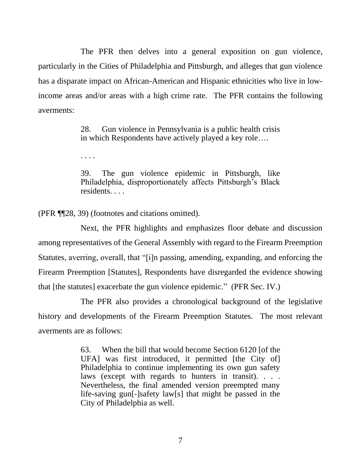The PFR then delves into a general exposition on gun violence, particularly in the Cities of Philadelphia and Pittsburgh, and alleges that gun violence has a disparate impact on African-American and Hispanic ethnicities who live in lowincome areas and/or areas with a high crime rate. The PFR contains the following averments:

> 28. Gun violence in Pennsylvania is a public health crisis in which Respondents have actively played a key role….

. . . .

39. The gun violence epidemic in Pittsburgh, like Philadelphia, disproportionately affects Pittsburgh's Black residents. . . .

(PFR ¶¶28, 39) (footnotes and citations omitted).

Next, the PFR highlights and emphasizes floor debate and discussion among representatives of the General Assembly with regard to the Firearm Preemption Statutes, averring, overall, that "[i]n passing, amending, expanding, and enforcing the Firearm Preemption [Statutes], Respondents have disregarded the evidence showing that [the statutes] exacerbate the gun violence epidemic." (PFR Sec. IV.)

 The PFR also provides a chronological background of the legislative history and developments of the Firearm Preemption Statutes. The most relevant averments are as follows:

> 63. When the bill that would become Section 6120 [of the UFA] was first introduced, it permitted [the City of] Philadelphia to continue implementing its own gun safety laws (except with regards to hunters in transit). . . . Nevertheless, the final amended version preempted many life-saving gun[-]safety law[s] that might be passed in the City of Philadelphia as well.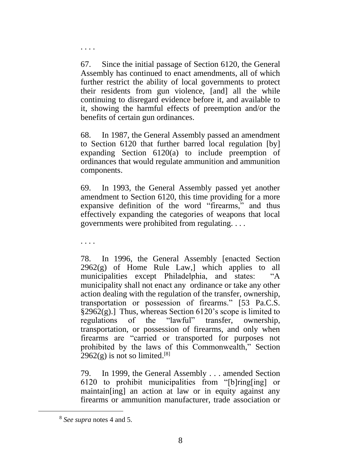67. Since the initial passage of Section 6120, the General Assembly has continued to enact amendments, all of which further restrict the ability of local governments to protect their residents from gun violence, [and] all the while continuing to disregard evidence before it, and available to it, showing the harmful effects of preemption and/or the benefits of certain gun ordinances.

68. In 1987, the General Assembly passed an amendment to Section 6120 that further barred local regulation [by] expanding Section 6120(a) to include preemption of ordinances that would regulate ammunition and ammunition components.

69. In 1993, the General Assembly passed yet another amendment to Section 6120, this time providing for a more expansive definition of the word "firearms," and thus effectively expanding the categories of weapons that local governments were prohibited from regulating. . . .

. . . .

. . . .

78. In 1996, the General Assembly [enacted Section  $2962(g)$  of Home Rule Law, which applies to all municipalities except Philadelphia, and states: "A municipality shall not enact any ordinance or take any other action dealing with the regulation of the transfer, ownership, transportation or possession of firearms." [53 Pa.C.S.  $\S2962(g)$ .] Thus, whereas Section 6120's scope is limited to regulations of the "lawful" transfer, ownership, transportation, or possession of firearms, and only when firearms are "carried or transported for purposes not prohibited by the laws of this Commonwealth," Section  $2962(g)$  is not so limited.<sup>[8]</sup>

79. In 1999, the General Assembly . . . amended Section 6120 to prohibit municipalities from "[b]ring[ing] or maintain[ing] an action at law or in equity against any firearms or ammunition manufacturer, trade association or

<sup>8</sup> *See supra* notes 4 and 5.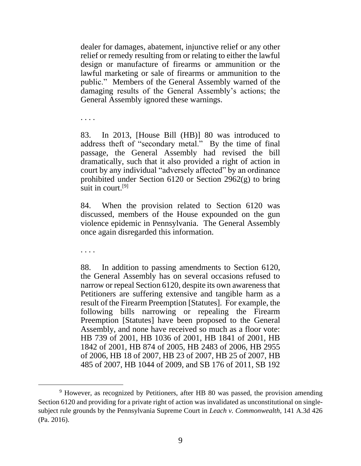dealer for damages, abatement, injunctive relief or any other relief or remedy resulting from or relating to either the lawful design or manufacture of firearms or ammunition or the lawful marketing or sale of firearms or ammunition to the public." Members of the General Assembly warned of the damaging results of the General Assembly's actions; the General Assembly ignored these warnings.

. . . .

83. In 2013, [House Bill (HB)] 80 was introduced to address theft of "secondary metal." By the time of final passage, the General Assembly had revised the bill dramatically, such that it also provided a right of action in court by any individual "adversely affected" by an ordinance prohibited under Section 6120 or Section 2962(g) to bring suit in court.<sup>[9]</sup>

84. When the provision related to Section 6120 was discussed, members of the House expounded on the gun violence epidemic in Pennsylvania. The General Assembly once again disregarded this information.

. . . .

88. In addition to passing amendments to Section 6120, the General Assembly has on several occasions refused to narrow or repeal Section 6120, despite its own awareness that Petitioners are suffering extensive and tangible harm as a result of the Firearm Preemption [Statutes]. For example, the following bills narrowing or repealing the Firearm Preemption [Statutes] have been proposed to the General Assembly, and none have received so much as a floor vote: HB 739 of 2001, HB 1036 of 2001, HB 1841 of 2001, HB 1842 of 2001, HB 874 of 2005, HB 2483 of 2006, HB 2955 of 2006, HB 18 of 2007, HB 23 of 2007, HB 25 of 2007, HB 485 of 2007, HB 1044 of 2009, and SB 176 of 2011, SB 192

<sup>&</sup>lt;sup>9</sup> However, as recognized by Petitioners, after HB 80 was passed, the provision amending Section 6120 and providing for a private right of action was invalidated as unconstitutional on singlesubject rule grounds by the Pennsylvania Supreme Court in *Leach v. Commonwealth*, 141 A.3d 426 (Pa. 2016).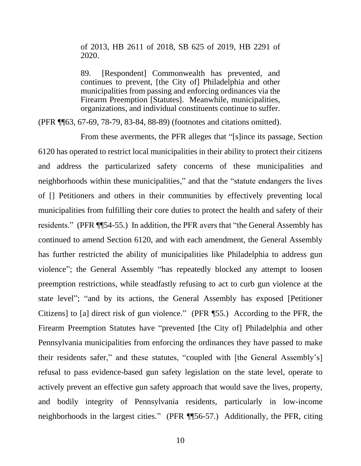of 2013, HB 2611 of 2018, SB 625 of 2019, HB 2291 of 2020.

89. [Respondent] Commonwealth has prevented, and continues to prevent, [the City of] Philadelphia and other municipalities from passing and enforcing ordinances via the Firearm Preemption [Statutes]. Meanwhile, municipalities, organizations, and individual constituents continue to suffer.

(PFR ¶¶63, 67-69, 78-79, 83-84, 88-89) (footnotes and citations omitted).

From these averments, the PFR alleges that "[s]ince its passage, Section 6120 has operated to restrict local municipalities in their ability to protect their citizens and address the particularized safety concerns of these municipalities and neighborhoods within these municipalities," and that the "statute endangers the lives of [] Petitioners and others in their communities by effectively preventing local municipalities from fulfilling their core duties to protect the health and safety of their residents." (PFR ¶¶54-55.) In addition, the PFR avers that "the General Assembly has continued to amend Section 6120, and with each amendment, the General Assembly has further restricted the ability of municipalities like Philadelphia to address gun violence"; the General Assembly "has repeatedly blocked any attempt to loosen preemption restrictions, while steadfastly refusing to act to curb gun violence at the state level"; "and by its actions, the General Assembly has exposed [Petitioner Citizens] to [a] direct risk of gun violence." (PFR ¶55.) According to the PFR, the Firearm Preemption Statutes have "prevented [the City of] Philadelphia and other Pennsylvania municipalities from enforcing the ordinances they have passed to make their residents safer," and these statutes, "coupled with [the General Assembly's] refusal to pass evidence-based gun safety legislation on the state level, operate to actively prevent an effective gun safety approach that would save the lives, property, and bodily integrity of Pennsylvania residents, particularly in low-income neighborhoods in the largest cities." (PFR ¶¶56-57.) Additionally, the PFR, citing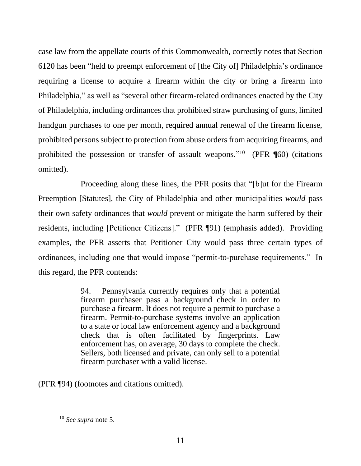case law from the appellate courts of this Commonwealth, correctly notes that Section 6120 has been "held to preempt enforcement of [the City of] Philadelphia's ordinance requiring a license to acquire a firearm within the city or bring a firearm into Philadelphia," as well as "several other firearm-related ordinances enacted by the City of Philadelphia, including ordinances that prohibited straw purchasing of guns, limited handgun purchases to one per month, required annual renewal of the firearm license, prohibited persons subject to protection from abuse orders from acquiring firearms, and prohibited the possession or transfer of assault weapons."<sup>10</sup> (PFR [60) (citations omitted).

Proceeding along these lines, the PFR posits that "[b]ut for the Firearm Preemption [Statutes], the City of Philadelphia and other municipalities *would* pass their own safety ordinances that *would* prevent or mitigate the harm suffered by their residents, including [Petitioner Citizens]." (PFR ¶91) (emphasis added). Providing examples, the PFR asserts that Petitioner City would pass three certain types of ordinances, including one that would impose "permit-to-purchase requirements." In this regard, the PFR contends:

> 94. Pennsylvania currently requires only that a potential firearm purchaser pass a background check in order to purchase a firearm. It does not require a permit to purchase a firearm. Permit-to-purchase systems involve an application to a state or local law enforcement agency and a background check that is often facilitated by fingerprints. Law enforcement has, on average, 30 days to complete the check. Sellers, both licensed and private, can only sell to a potential firearm purchaser with a valid license.

(PFR ¶94) (footnotes and citations omitted).

<sup>10</sup> *See supra* note 5.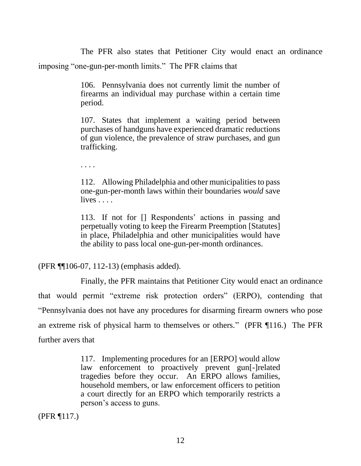The PFR also states that Petitioner City would enact an ordinance imposing "one-gun-per-month limits." The PFR claims that

> 106. Pennsylvania does not currently limit the number of firearms an individual may purchase within a certain time period.

> 107. States that implement a waiting period between purchases of handguns have experienced dramatic reductions of gun violence, the prevalence of straw purchases, and gun trafficking.

. . . .

112. Allowing Philadelphia and other municipalities to pass one-gun-per-month laws within their boundaries *would* save lives . . . .

113. If not for [] Respondents' actions in passing and perpetually voting to keep the Firearm Preemption [Statutes] in place, Philadelphia and other municipalities would have the ability to pass local one-gun-per-month ordinances.

(PFR ¶¶106-07, 112-13) (emphasis added).

Finally, the PFR maintains that Petitioner City would enact an ordinance that would permit "extreme risk protection orders" (ERPO), contending that "Pennsylvania does not have any procedures for disarming firearm owners who pose an extreme risk of physical harm to themselves or others." (PFR ¶116.) The PFR further avers that

> 117. Implementing procedures for an [ERPO] would allow law enforcement to proactively prevent gun[-]related tragedies before they occur. An ERPO allows families, household members, or law enforcement officers to petition a court directly for an ERPO which temporarily restricts a person's access to guns.

(PFR ¶117.)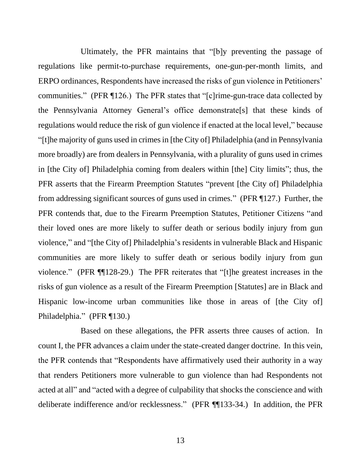Ultimately, the PFR maintains that "[b]y preventing the passage of regulations like permit-to-purchase requirements, one-gun-per-month limits, and ERPO ordinances, Respondents have increased the risks of gun violence in Petitioners' communities." (PFR ¶126.) The PFR states that "[c]rime-gun-trace data collected by the Pennsylvania Attorney General's office demonstrate[s] that these kinds of regulations would reduce the risk of gun violence if enacted at the local level," because "[t]he majority of guns used in crimes in [the City of] Philadelphia (and in Pennsylvania more broadly) are from dealers in Pennsylvania, with a plurality of guns used in crimes in [the City of] Philadelphia coming from dealers within [the] City limits"; thus, the PFR asserts that the Firearm Preemption Statutes "prevent [the City of] Philadelphia from addressing significant sources of guns used in crimes." (PFR ¶127.) Further, the PFR contends that, due to the Firearm Preemption Statutes, Petitioner Citizens "and their loved ones are more likely to suffer death or serious bodily injury from gun violence," and "[the City of] Philadelphia's residents in vulnerable Black and Hispanic communities are more likely to suffer death or serious bodily injury from gun violence." (PFR ¶¶128-29.) The PFR reiterates that "[t]he greatest increases in the risks of gun violence as a result of the Firearm Preemption [Statutes] are in Black and Hispanic low-income urban communities like those in areas of [the City of] Philadelphia." (PFR ¶130.)

Based on these allegations, the PFR asserts three causes of action. In count I, the PFR advances a claim under the state-created danger doctrine. In this vein, the PFR contends that "Respondents have affirmatively used their authority in a way that renders Petitioners more vulnerable to gun violence than had Respondents not acted at all" and "acted with a degree of culpability that shocks the conscience and with deliberate indifference and/or recklessness." (PFR ¶¶133-34.) In addition, the PFR

13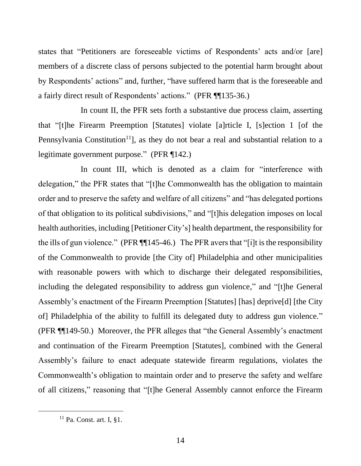states that "Petitioners are foreseeable victims of Respondents' acts and/or [are] members of a discrete class of persons subjected to the potential harm brought about by Respondents' actions" and, further, "have suffered harm that is the foreseeable and a fairly direct result of Respondents' actions." (PFR ¶¶135-36.)

In count II, the PFR sets forth a substantive due process claim, asserting that "[t]he Firearm Preemption [Statutes] violate [a]rticle I, [s]ection 1 [of the Pennsylvania Constitution<sup>11</sup>, as they do not bear a real and substantial relation to a legitimate government purpose." (PFR ¶142.)

In count III, which is denoted as a claim for "interference with delegation," the PFR states that "[t]he Commonwealth has the obligation to maintain order and to preserve the safety and welfare of all citizens" and "has delegated portions of that obligation to its political subdivisions," and "[t]his delegation imposes on local health authorities, including [Petitioner City's] health department, the responsibility for the ills of gun violence." (PFR ¶¶145-46.) The PFR avers that "[i]t is the responsibility of the Commonwealth to provide [the City of] Philadelphia and other municipalities with reasonable powers with which to discharge their delegated responsibilities, including the delegated responsibility to address gun violence," and "[t]he General Assembly's enactment of the Firearm Preemption [Statutes] [has] deprive[d] [the City of] Philadelphia of the ability to fulfill its delegated duty to address gun violence." (PFR ¶¶149-50.) Moreover, the PFR alleges that "the General Assembly's enactment and continuation of the Firearm Preemption [Statutes], combined with the General Assembly's failure to enact adequate statewide firearm regulations, violates the Commonwealth's obligation to maintain order and to preserve the safety and welfare of all citizens," reasoning that "[t]he General Assembly cannot enforce the Firearm

<sup>11</sup> Pa. Const. art. I, §1.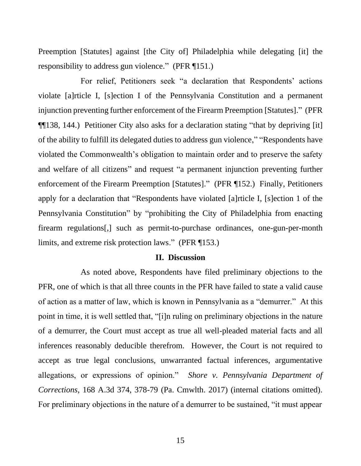Preemption [Statutes] against [the City of] Philadelphia while delegating [it] the responsibility to address gun violence." (PFR ¶151.)

For relief, Petitioners seek "a declaration that Respondents' actions violate [a]rticle I, [s]ection I of the Pennsylvania Constitution and a permanent injunction preventing further enforcement of the Firearm Preemption [Statutes]." (PFR ¶¶138, 144.) Petitioner City also asks for a declaration stating "that by depriving [it] of the ability to fulfill its delegated duties to address gun violence," "Respondents have violated the Commonwealth's obligation to maintain order and to preserve the safety and welfare of all citizens" and request "a permanent injunction preventing further enforcement of the Firearm Preemption [Statutes]." (PFR ¶152.) Finally, Petitioners apply for a declaration that "Respondents have violated [a]rticle I, [s]ection 1 of the Pennsylvania Constitution" by "prohibiting the City of Philadelphia from enacting firearm regulations[,] such as permit-to-purchase ordinances, one-gun-per-month limits, and extreme risk protection laws." (PFR ¶153.)

#### **II. Discussion**

As noted above, Respondents have filed preliminary objections to the PFR, one of which is that all three counts in the PFR have failed to state a valid cause of action as a matter of law, which is known in Pennsylvania as a "demurrer." At this point in time, it is well settled that, "[i]n ruling on preliminary objections in the nature of a demurrer, the Court must accept as true all well-pleaded material facts and all inferences reasonably deducible therefrom. However, the Court is not required to accept as true legal conclusions, unwarranted factual inferences, argumentative allegations, or expressions of opinion." *Shore v. Pennsylvania Department of Corrections*, 168 A.3d 374, 378-79 (Pa. Cmwlth. 2017) (internal citations omitted). For preliminary objections in the nature of a demurrer to be sustained, "it must appear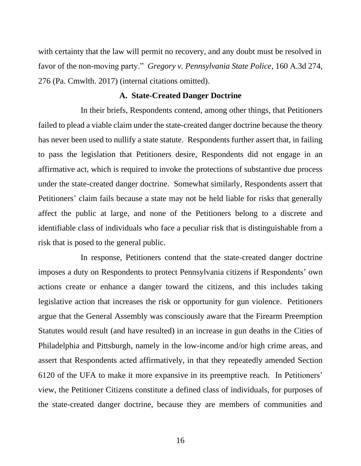with certainty that the law will permit no recovery, and any doubt must be resolved in favor of the non-moving party." *Gregory v. Pennsylvania State Police*, 160 A.3d 274, 276 (Pa. Cmwlth. 2017) (internal citations omitted).

#### **A. State-Created Danger Doctrine**

In their briefs, Respondents contend, among other things, that Petitioners failed to plead a viable claim under the state-created danger doctrine because the theory has never been used to nullify a state statute. Respondents further assert that, in failing to pass the legislation that Petitioners desire, Respondents did not engage in an affirmative act, which is required to invoke the protections of substantive due process under the state-created danger doctrine. Somewhat similarly, Respondents assert that Petitioners' claim fails because a state may not be held liable for risks that generally affect the public at large, and none of the Petitioners belong to a discrete and identifiable class of individuals who face a peculiar risk that is distinguishable from a risk that is posed to the general public.

In response, Petitioners contend that the state-created danger doctrine imposes a duty on Respondents to protect Pennsylvania citizens if Respondents' own actions create or enhance a danger toward the citizens, and this includes taking legislative action that increases the risk or opportunity for gun violence. Petitioners argue that the General Assembly was consciously aware that the Firearm Preemption Statutes would result (and have resulted) in an increase in gun deaths in the Cities of Philadelphia and Pittsburgh, namely in the low-income and/or high crime areas, and assert that Respondents acted affirmatively, in that they repeatedly amended Section 6120 of the UFA to make it more expansive in its preemptive reach. In Petitioners' view, the Petitioner Citizens constitute a defined class of individuals, for purposes of the state-created danger doctrine, because they are members of communities and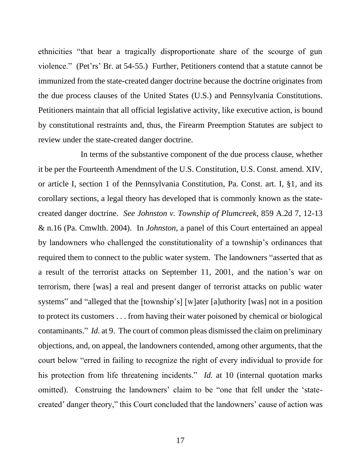ethnicities "that bear a tragically disproportionate share of the scourge of gun violence." (Pet'rs' Br. at 54-55.) Further, Petitioners contend that a statute cannot be immunized from the state-created danger doctrine because the doctrine originates from the due process clauses of the United States (U.S.) and Pennsylvania Constitutions. Petitioners maintain that all official legislative activity, like executive action, is bound by constitutional restraints and, thus, the Firearm Preemption Statutes are subject to review under the state-created danger doctrine.

In terms of the substantive component of the due process clause, whether it be per the Fourteenth Amendment of the U.S. Constitution, U.S. Const. amend. XIV, or article I, section 1 of the Pennsylvania Constitution, Pa. Const. art. I, §1, and its corollary sections, a legal theory has developed that is commonly known as the statecreated danger doctrine. *See Johnston v. Township of Plumcreek*, 859 A.2d 7, 12-13 & n.16 (Pa. Cmwlth. 2004). In *Johnston*, a panel of this Court entertained an appeal by landowners who challenged the constitutionality of a township's ordinances that required them to connect to the public water system. The landowners "asserted that as a result of the terrorist attacks on September 11, 2001, and the nation's war on terrorism, there [was] a real and present danger of terrorist attacks on public water systems" and "alleged that the [township's] [w]ater [a]uthority [was] not in a position to protect its customers . . . from having their water poisoned by chemical or biological contaminants." *Id.* at 9. The court of common pleas dismissed the claim on preliminary objections, and, on appeal, the landowners contended, among other arguments, that the court below "erred in failing to recognize the right of every individual to provide for his protection from life threatening incidents." *Id.* at 10 (internal quotation marks omitted). Construing the landowners' claim to be "one that fell under the 'statecreated' danger theory," this Court concluded that the landowners' cause of action was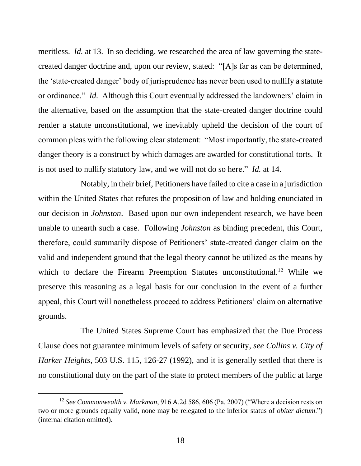meritless. *Id.* at 13. In so deciding, we researched the area of law governing the statecreated danger doctrine and, upon our review, stated: "[A]s far as can be determined, the 'state-created danger' body of jurisprudence has never been used to nullify a statute or ordinance." *Id.* Although this Court eventually addressed the landowners' claim in the alternative, based on the assumption that the state-created danger doctrine could render a statute unconstitutional, we inevitably upheld the decision of the court of common pleas with the following clear statement: "Most importantly, the state-created danger theory is a construct by which damages are awarded for constitutional torts. It is not used to nullify statutory law, and we will not do so here." *Id.* at 14.

Notably, in their brief, Petitioners have failed to cite a case in a jurisdiction within the United States that refutes the proposition of law and holding enunciated in our decision in *Johnston*. Based upon our own independent research, we have been unable to unearth such a case. Following *Johnston* as binding precedent, this Court, therefore, could summarily dispose of Petitioners' state-created danger claim on the valid and independent ground that the legal theory cannot be utilized as the means by which to declare the Firearm Preemption Statutes unconstitutional.<sup>12</sup> While we preserve this reasoning as a legal basis for our conclusion in the event of a further appeal, this Court will nonetheless proceed to address Petitioners' claim on alternative grounds.

 The United States Supreme Court has emphasized that the Due Process Clause does not guarantee minimum levels of safety or security, *see Collins v. City of Harker Heights*, 503 U.S. 115, 126-27 (1992), and it is generally settled that there is no constitutional duty on the part of the state to protect members of the public at large

<sup>12</sup> *See Commonwealth v. Markman*, 916 A.2d 586, 606 (Pa. 2007) ("Where a decision rests on two or more grounds equally valid, none may be relegated to the inferior status of *obiter dictum*.") (internal citation omitted).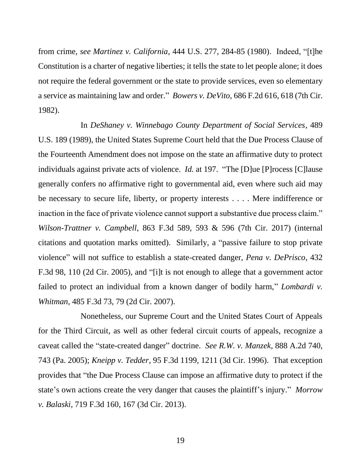from crime, *see Martinez v. California*, 444 U.S. 277, 284-85 (1980). Indeed, "[t]he Constitution is a charter of negative liberties; it tells the state to let people alone; it does not require the federal government or the state to provide services, even so elementary a service as maintaining law and order." *Bowers v. DeVito*, 686 F.2d 616, 618 (7th Cir. 1982).

In *DeShaney v. Winnebago County Department of Social Services*, 489 U.S. 189 (1989), the United States Supreme Court held that the Due Process Clause of the Fourteenth Amendment does not impose on the state an affirmative duty to protect individuals against private acts of violence. *Id.* at 197. "The [D]ue [P]rocess [C]lause generally confers no affirmative right to governmental aid, even where such aid may be necessary to secure life, liberty, or property interests . . . . Mere indifference or inaction in the face of private violence cannot support a substantive due process claim." *Wilson-Trattner v. Campbell*, 863 F.3d 589, 593 & 596 (7th Cir. 2017) (internal citations and quotation marks omitted). Similarly, a "passive failure to stop private violence" will not suffice to establish a state-created danger, *Pena v. DePrisco*, 432 F.3d 98, 110 (2d Cir. 2005), and "[i]t is not enough to allege that a government actor failed to protect an individual from a known danger of bodily harm," *Lombardi v. Whitman*, 485 F.3d 73, 79 (2d Cir. 2007).

Nonetheless, our Supreme Court and the United States Court of Appeals for the Third Circuit, as well as other federal circuit courts of appeals, recognize a caveat called the "state-created danger" doctrine. *See R.W. v. Manzek*, 888 A.2d 740, 743 (Pa. 2005); *Kneipp v. Tedder*, 95 F.3d 1199, 1211 (3d Cir. 1996). That exception provides that "the Due Process Clause can impose an affirmative duty to protect if the state's own actions create the very danger that causes the plaintiff's injury." *Morrow v. Balaski*, 719 F.3d 160, 167 (3d Cir. 2013).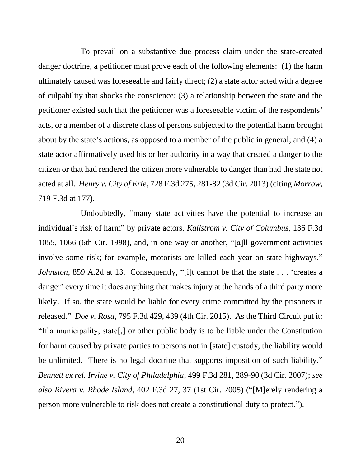To prevail on a substantive due process claim under the state-created danger doctrine, a petitioner must prove each of the following elements: (1) the harm ultimately caused was foreseeable and fairly direct; (2) a state actor acted with a degree of culpability that shocks the conscience; (3) a relationship between the state and the petitioner existed such that the petitioner was a foreseeable victim of the respondents' acts, or a member of a discrete class of persons subjected to the potential harm brought about by the state's actions, as opposed to a member of the public in general; and (4) a state actor affirmatively used his or her authority in a way that created a danger to the citizen or that had rendered the citizen more vulnerable to danger than had the state not acted at all. *Henry v. City of Erie*, 728 F.3d 275, 281-82 (3d Cir. 2013) (citing *Morrow*, 719 F.3d at 177).

Undoubtedly, "many state activities have the potential to increase an individual's risk of harm" by private actors, *Kallstrom v. City of Columbus*, 136 F.3d 1055, 1066 (6th Cir. 1998), and, in one way or another, "[a]ll government activities involve some risk; for example, motorists are killed each year on state highways." *Johnston*, 859 A.2d at 13. Consequently, "[i]t cannot be that the state . . . 'creates a danger' every time it does anything that makes injury at the hands of a third party more likely. If so, the state would be liable for every crime committed by the prisoners it released." *Doe v. Rosa*, 795 F.3d 429, 439 (4th Cir. 2015). As the Third Circuit put it: "If a municipality, state[,] or other public body is to be liable under the Constitution for harm caused by private parties to persons not in [state] custody, the liability would be unlimited. There is no legal doctrine that supports imposition of such liability." *Bennett ex rel. Irvine v. City of Philadelphia*, 499 F.3d 281, 289-90 (3d Cir. 2007); *see also Rivera v. Rhode Island*, 402 F.3d 27, 37 (1st Cir. 2005) ("[M]erely rendering a person more vulnerable to risk does not create a constitutional duty to protect.").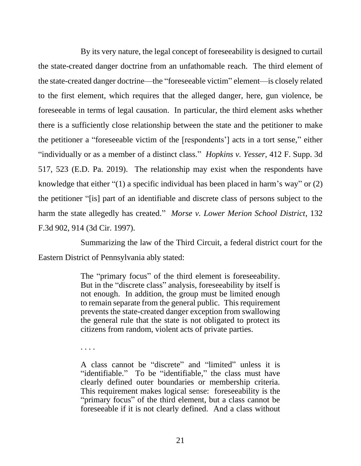By its very nature, the legal concept of foreseeability is designed to curtail the state-created danger doctrine from an unfathomable reach. The third element of the state-created danger doctrine—the "foreseeable victim" element—is closely related to the first element, which requires that the alleged danger, here, gun violence, be foreseeable in terms of legal causation. In particular, the third element asks whether there is a sufficiently close relationship between the state and the petitioner to make the petitioner a "foreseeable victim of the [respondents'] acts in a tort sense," either "individually or as a member of a distinct class." *Hopkins v. Yesser*, 412 F. Supp. 3d 517, 523 (E.D. Pa. 2019). The relationship may exist when the respondents have knowledge that either "(1) a specific individual has been placed in harm's way" or (2) the petitioner "[is] part of an identifiable and discrete class of persons subject to the harm the state allegedly has created." *Morse v. Lower Merion School District*, 132 F.3d 902, 914 (3d Cir. 1997).

Summarizing the law of the Third Circuit, a federal district court for the Eastern District of Pennsylvania ably stated:

> The "primary focus" of the third element is foreseeability. But in the "discrete class" analysis, foreseeability by itself is not enough. In addition, the group must be limited enough to remain separate from the general public. This requirement prevents the state-created danger exception from swallowing the general rule that the state is not obligated to protect its citizens from random, violent acts of private parties.

. . . .

A class cannot be "discrete" and "limited" unless it is "identifiable." To be "identifiable," the class must have clearly defined outer boundaries or membership criteria. This requirement makes logical sense: foreseeability is the "primary focus" of the third element, but a class cannot be foreseeable if it is not clearly defined. And a class without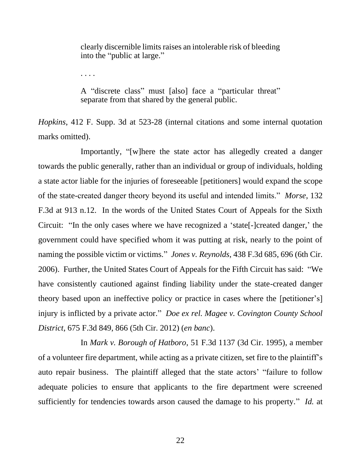clearly discernible limits raises an intolerable risk of bleeding into the "public at large."

. . . .

A "discrete class" must [also] face a "particular threat" separate from that shared by the general public.

*Hopkins*, 412 F. Supp. 3d at 523-28 (internal citations and some internal quotation marks omitted).

Importantly, "[w]here the state actor has allegedly created a danger towards the public generally, rather than an individual or group of individuals, holding a state actor liable for the injuries of foreseeable [petitioners] would expand the scope of the state-created danger theory beyond its useful and intended limits." *Morse*, 132 F.3d at 913 n.12. In the words of the United States Court of Appeals for the Sixth Circuit: "In the only cases where we have recognized a 'state[-]created danger,' the government could have specified whom it was putting at risk, nearly to the point of naming the possible victim or victims." *Jones v. Reynolds*, 438 F.3d 685, 696 (6th Cir. 2006). Further, the United States Court of Appeals for the Fifth Circuit has said: "We have consistently cautioned against finding liability under the state-created danger theory based upon an ineffective policy or practice in cases where the [petitioner's] injury is inflicted by a private actor." *Doe ex rel. Magee v. Covington County School District*, 675 F.3d 849, 866 (5th Cir. 2012) (*en banc*).

In *Mark v. Borough of Hatboro*, 51 F.3d 1137 (3d Cir. 1995), a member of a volunteer fire department, while acting as a private citizen, set fire to the plaintiff's auto repair business. The plaintiff alleged that the state actors' "failure to follow adequate policies to ensure that applicants to the fire department were screened sufficiently for tendencies towards arson caused the damage to his property." *Id.* at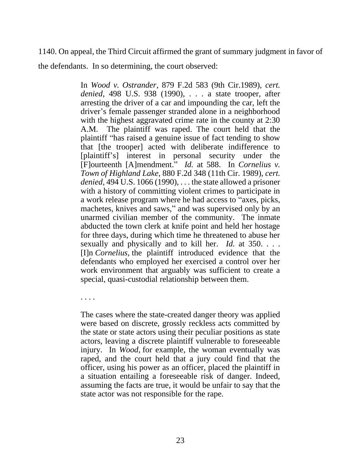### 1140. On appeal, the Third Circuit affirmed the grant of summary judgment in favor of

the defendants. In so determining, the court observed:

In *Wood v. Ostrander*, 879 F.2d 583 (9th Cir.1989), *cert. denied*, 498 U.S. 938 (1990), . . . a state trooper, after arresting the driver of a car and impounding the car, left the driver's female passenger stranded alone in a neighborhood with the highest aggravated crime rate in the county at 2:30 A.M. The plaintiff was raped. The court held that the plaintiff "has raised a genuine issue of fact tending to show that [the trooper] acted with deliberate indifference to [plaintiff's] interest in personal security under the [F]ourteenth [A]mendment." *Id.* at 588. In *Cornelius v. Town of Highland Lake*, 880 F.2d 348 (11th Cir. 1989), *cert. denied*, 494 U.S. 1066 (1990), . . . the state allowed a prisoner with a history of committing violent crimes to participate in a work release program where he had access to "axes, picks, machetes, knives and saws," and was supervised only by an unarmed civilian member of the community. The inmate abducted the town clerk at knife point and held her hostage for three days, during which time he threatened to abuse her sexually and physically and to kill her. *Id.* at 350. . . . [I]n *Cornelius,* the plaintiff introduced evidence that the defendants who employed her exercised a control over her work environment that arguably was sufficient to create a special, quasi-custodial relationship between them.

. . . .

The cases where the state-created danger theory was applied were based on discrete, grossly reckless acts committed by the state or state actors using their peculiar positions as state actors, leaving a discrete plaintiff vulnerable to foreseeable injury. In *Wood*, for example, the woman eventually was raped, and the court held that a jury could find that the officer, using his power as an officer, placed the plaintiff in a situation entailing a foreseeable risk of danger. Indeed, assuming the facts are true, it would be unfair to say that the state actor was not responsible for the rape.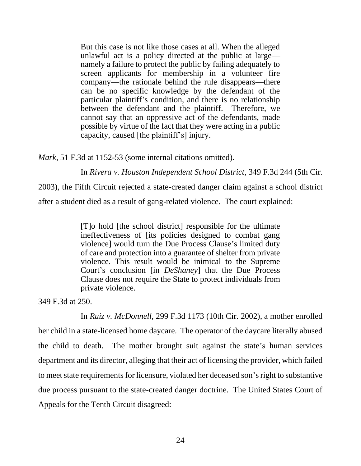But this case is not like those cases at all. When the alleged unlawful act is a policy directed at the public at large namely a failure to protect the public by failing adequately to screen applicants for membership in a volunteer fire company—the rationale behind the rule disappears—there can be no specific knowledge by the defendant of the particular plaintiff's condition, and there is no relationship between the defendant and the plaintiff. Therefore, we cannot say that an oppressive act of the defendants, made possible by virtue of the fact that they were acting in a public capacity, caused [the plaintiff's] injury.

*Mark*, 51 F.3d at 1152-53 (some internal citations omitted).

In *Rivera v. Houston Independent School District*, 349 F.3d 244 (5th Cir.

2003), the Fifth Circuit rejected a state-created danger claim against a school district after a student died as a result of gang-related violence. The court explained:

> [T]o hold [the school district] responsible for the ultimate ineffectiveness of [its policies designed to combat gang violence] would turn the Due Process Clause's limited duty of care and protection into a guarantee of shelter from private violence. This result would be inimical to the Supreme Court's conclusion [in *DeShaney*] that the Due Process Clause does not require the State to protect individuals from private violence.

349 F.3d at 250.

In *Ruiz v. McDonnell*, 299 F.3d 1173 (10th Cir. 2002), a mother enrolled her child in a state-licensed home daycare. The operator of the daycare literally abused the child to death. The mother brought suit against the state's human services department and its director, alleging that their act of licensing the provider, which failed to meet state requirements for licensure, violated her deceased son's right to substantive due process pursuant to the state-created danger doctrine. The United States Court of Appeals for the Tenth Circuit disagreed: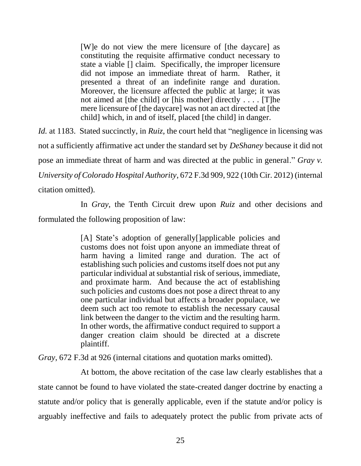[W]e do not view the mere licensure of [the daycare] as constituting the requisite affirmative conduct necessary to state a viable [] claim. Specifically, the improper licensure did not impose an immediate threat of harm. Rather, it presented a threat of an indefinite range and duration. Moreover, the licensure affected the public at large; it was not aimed at [the child] or [his mother] directly . . . . [T]he mere licensure of [the daycare] was not an act directed at [the child] which, in and of itself, placed [the child] in danger.

*Id.* at 1183. Stated succinctly, in *Ruiz*, the court held that "negligence in licensing was not a sufficiently affirmative act under the standard set by *DeShaney* because it did not pose an immediate threat of harm and was directed at the public in general." *Gray v. University of Colorado Hospital Authority*, 672 F.3d 909, 922 (10th Cir. 2012) (internal citation omitted).

In *Gray*, the Tenth Circuit drew upon *Ruiz* and other decisions and formulated the following proposition of law:

> [A] State's adoption of generally[]applicable policies and customs does not foist upon anyone an immediate threat of harm having a limited range and duration. The act of establishing such policies and customs itself does not put any particular individual at substantial risk of serious, immediate, and proximate harm. And because the act of establishing such policies and customs does not pose a direct threat to any one particular individual but affects a broader populace, we deem such act too remote to establish the necessary causal link between the danger to the victim and the resulting harm. In other words, the affirmative conduct required to support a danger creation claim should be directed at a discrete plaintiff.

*Gray*, 672 F.3d at 926 (internal citations and quotation marks omitted).

At bottom, the above recitation of the case law clearly establishes that a state cannot be found to have violated the state-created danger doctrine by enacting a statute and/or policy that is generally applicable, even if the statute and/or policy is arguably ineffective and fails to adequately protect the public from private acts of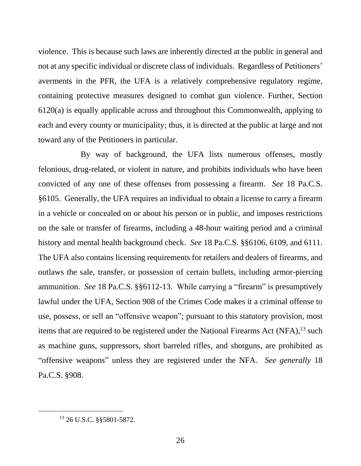violence. This is because such laws are inherently directed at the public in general and not at any specific individual or discrete class of individuals. Regardless of Petitioners' averments in the PFR, the UFA is a relatively comprehensive regulatory regime, containing protective measures designed to combat gun violence. Further, Section 6120(a) is equally applicable across and throughout this Commonwealth, applying to each and every county or municipality; thus, it is directed at the public at large and not toward any of the Petitioners in particular.

By way of background, the UFA lists numerous offenses, mostly felonious, drug-related, or violent in nature, and prohibits individuals who have been convicted of any one of these offenses from possessing a firearm. *See* 18 Pa.C.S. §6105. Generally, the UFA requires an individual to obtain a license to carry a firearm in a vehicle or concealed on or about his person or in public, and imposes restrictions on the sale or transfer of firearms, including a 48-hour waiting period and a criminal history and mental health background check. *See* 18 Pa.C.S. §§6106, 6109, and 6111. The UFA also contains licensing requirements for retailers and dealers of firearms, and outlaws the sale, transfer, or possession of certain bullets, including armor-piercing ammunition. *See* 18 Pa.C.S. §§6112-13.While carrying a "firearm" is presumptively lawful under the UFA, Section 908 of the Crimes Code makes it a criminal offense to use, possess, or sell an "offensive weapon"; pursuant to this statutory provision, most items that are required to be registered under the National Firearms Act (NFA),<sup>13</sup> such as machine guns, suppressors, short barreled rifles, and shotguns, are prohibited as "offensive weapons" unless they are registered under the NFA. *See generally* 18 Pa.C.S. §908.

<sup>13</sup> 26 U.S.C. §§5801-5872.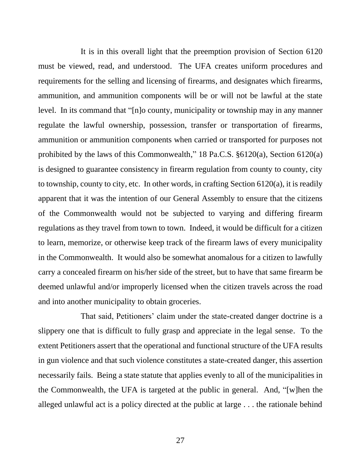It is in this overall light that the preemption provision of Section 6120 must be viewed, read, and understood. The UFA creates uniform procedures and requirements for the selling and licensing of firearms, and designates which firearms, ammunition, and ammunition components will be or will not be lawful at the state level. In its command that "[n]o county, municipality or township may in any manner regulate the lawful ownership, possession, transfer or transportation of firearms, ammunition or ammunition components when carried or transported for purposes not prohibited by the laws of this Commonwealth," 18 Pa.C.S. §6120(a), Section 6120(a) is designed to guarantee consistency in firearm regulation from county to county, city to township, county to city, etc. In other words, in crafting Section 6120(a), it is readily apparent that it was the intention of our General Assembly to ensure that the citizens of the Commonwealth would not be subjected to varying and differing firearm regulations as they travel from town to town. Indeed, it would be difficult for a citizen to learn, memorize, or otherwise keep track of the firearm laws of every municipality in the Commonwealth. It would also be somewhat anomalous for a citizen to lawfully carry a concealed firearm on his/her side of the street, but to have that same firearm be deemed unlawful and/or improperly licensed when the citizen travels across the road and into another municipality to obtain groceries.

That said, Petitioners' claim under the state-created danger doctrine is a slippery one that is difficult to fully grasp and appreciate in the legal sense. To the extent Petitioners assert that the operational and functional structure of the UFA results in gun violence and that such violence constitutes a state-created danger, this assertion necessarily fails. Being a state statute that applies evenly to all of the municipalities in the Commonwealth, the UFA is targeted at the public in general. And, "[w]hen the alleged unlawful act is a policy directed at the public at large . . . the rationale behind

27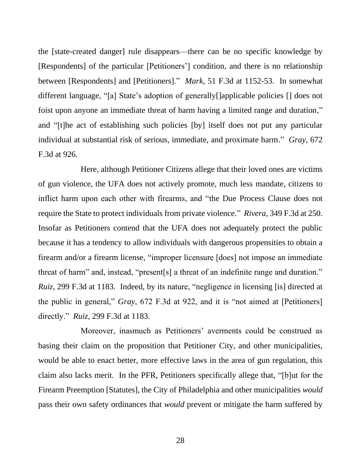the [state-created danger] rule disappears—there can be no specific knowledge by [Respondents] of the particular [Petitioners'] condition, and there is no relationship between [Respondents] and [Petitioners]." *Mark*, 51 F.3d at 1152-53. In somewhat different language, "[a] State's adoption of generally[]applicable policies [] does not foist upon anyone an immediate threat of harm having a limited range and duration," and "[t]he act of establishing such policies [by] itself does not put any particular individual at substantial risk of serious, immediate, and proximate harm." *Gray*, 672 F.3d at 926.

Here, although Petitioner Citizens allege that their loved ones are victims of gun violence, the UFA does not actively promote, much less mandate, citizens to inflict harm upon each other with firearms, and "the Due Process Clause does not require the State to protect individuals from private violence." *Rivera*, 349 F.3d at 250. Insofar as Petitioners contend that the UFA does not adequately protect the public because it has a tendency to allow individuals with dangerous propensities to obtain a firearm and/or a firearm license, "improper licensure [does] not impose an immediate threat of harm" and, instead, "present[s] a threat of an indefinite range and duration." *Ruiz*, 299 F.3d at 1183. Indeed, by its nature, "negligence in licensing [is] directed at the public in general," *Gray*, 672 F.3d at 922, and it is "not aimed at [Petitioners] directly." *Ruiz*, 299 F.3d at 1183.

Moreover, inasmuch as Petitioners' averments could be construed as basing their claim on the proposition that Petitioner City, and other municipalities, would be able to enact better, more effective laws in the area of gun regulation, this claim also lacks merit. In the PFR, Petitioners specifically allege that, "[b]ut for the Firearm Preemption [Statutes], the City of Philadelphia and other municipalities *would* pass their own safety ordinances that *would* prevent or mitigate the harm suffered by

28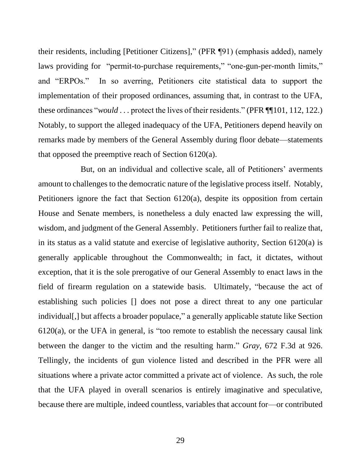their residents, including [Petitioner Citizens]," (PFR ¶91) (emphasis added), namely laws providing for "permit-to-purchase requirements," "one-gun-per-month limits," and "ERPOs." In so averring, Petitioners cite statistical data to support the implementation of their proposed ordinances, assuming that, in contrast to the UFA, these ordinances "*would* . . . protect the lives of their residents." (PFR ¶¶101, 112, 122.) Notably, to support the alleged inadequacy of the UFA, Petitioners depend heavily on remarks made by members of the General Assembly during floor debate—statements that opposed the preemptive reach of Section 6120(a).

But, on an individual and collective scale, all of Petitioners' averments amount to challenges to the democratic nature of the legislative process itself. Notably, Petitioners ignore the fact that Section 6120(a), despite its opposition from certain House and Senate members, is nonetheless a duly enacted law expressing the will, wisdom, and judgment of the General Assembly. Petitioners further fail to realize that, in its status as a valid statute and exercise of legislative authority, Section 6120(a) is generally applicable throughout the Commonwealth; in fact, it dictates, without exception, that it is the sole prerogative of our General Assembly to enact laws in the field of firearm regulation on a statewide basis. Ultimately, "because the act of establishing such policies [] does not pose a direct threat to any one particular individual[,] but affects a broader populace," a generally applicable statute like Section  $6120(a)$ , or the UFA in general, is "too remote to establish the necessary causal link between the danger to the victim and the resulting harm." *Gray*, 672 F.3d at 926. Tellingly, the incidents of gun violence listed and described in the PFR were all situations where a private actor committed a private act of violence. As such, the role that the UFA played in overall scenarios is entirely imaginative and speculative, because there are multiple, indeed countless, variables that account for—or contributed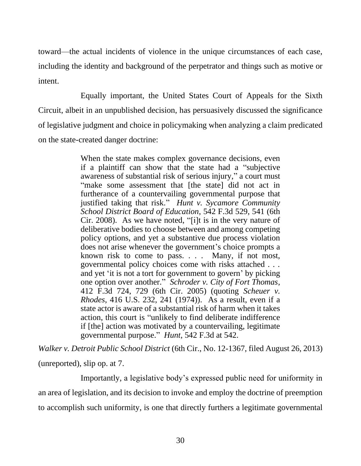toward—the actual incidents of violence in the unique circumstances of each case, including the identity and background of the perpetrator and things such as motive or intent.

Equally important, the United States Court of Appeals for the Sixth Circuit, albeit in an unpublished decision, has persuasively discussed the significance of legislative judgment and choice in policymaking when analyzing a claim predicated on the state-created danger doctrine:

> When the state makes complex governance decisions, even if a plaintiff can show that the state had a "subjective awareness of substantial risk of serious injury," a court must "make some assessment that [the state] did not act in furtherance of a countervailing governmental purpose that justified taking that risk." *Hunt v. Sycamore Community School District Board of Education*, 542 F.3d 529, 541 (6th Cir. 2008). As we have noted, "[i]t is in the very nature of deliberative bodies to choose between and among competing policy options, and yet a substantive due process violation does not arise whenever the government's choice prompts a known risk to come to pass. . . . Many, if not most, governmental policy choices come with risks attached . . . and yet 'it is not a tort for government to govern' by picking one option over another." *Schroder v. City of Fort Thomas*, 412 F.3d 724, 729 (6th Cir. 2005) (quoting *Scheuer v. Rhodes*, 416 U.S. 232, 241 (1974)). As a result, even if a state actor is aware of a substantial risk of harm when it takes action, this court is "unlikely to find deliberate indifference if [the] action was motivated by a countervailing, legitimate governmental purpose." *Hunt*, 542 F.3d at 542.

*Walker v. Detroit Public School District* (6th Cir., No. 12-1367, filed August 26, 2013) (unreported), slip op. at 7.

Importantly, a legislative body's expressed public need for uniformity in an area of legislation, and its decision to invoke and employ the doctrine of preemption to accomplish such uniformity, is one that directly furthers a legitimate governmental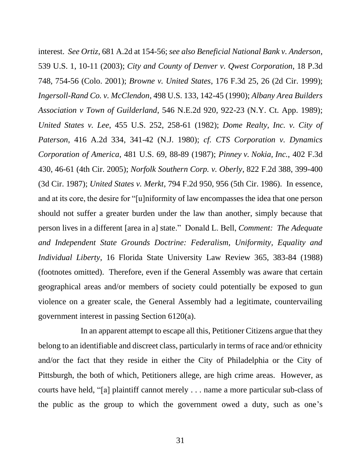interest. *See Ortiz*, 681 A.2d at 154-56; *see also Beneficial National Bank v. Anderson*, 539 U.S. 1, 10-11 (2003); *City and County of Denver v. Qwest Corporation*, 18 P.3d 748, 754-56 (Colo. 2001); *Browne v. United States*, 176 F.3d 25, 26 (2d Cir. 1999); *Ingersoll-Rand Co. v. McClendon*, 498 U.S. 133, 142-45 (1990); *Albany Area Builders Association v Town of Guilderland*, 546 N.E.2d 920, 922-23 (N.Y. Ct. App. 1989); *United States v. Lee*, 455 U.S. 252, 258-61 (1982); *Dome Realty, Inc. v. City of Paterson*, 416 A.2d 334, 341-42 (N.J. 1980); *cf. CTS Corporation v. Dynamics Corporation of America*, 481 U.S. 69, 88-89 (1987); *Pinney v. Nokia, Inc.*, 402 F.3d 430, 46-61 (4th Cir. 2005); *Norfolk Southern Corp. v. Oberly*, 822 F.2d 388, 399-400 (3d Cir. 1987); *United States v. Merkt*, 794 F.2d 950, 956 (5th Cir. 1986). In essence, and at its core, the desire for "[u]niformity of law encompasses the idea that one person should not suffer a greater burden under the law than another, simply because that person lives in a different [area in a] state." Donald L. Bell, *Comment: The Adequate and Independent State Grounds Doctrine: Federalism, Uniformity, Equality and Individual Liberty*, 16 Florida State University Law Review 365, 383-84 (1988) (footnotes omitted). Therefore, even if the General Assembly was aware that certain geographical areas and/or members of society could potentially be exposed to gun violence on a greater scale, the General Assembly had a legitimate, countervailing government interest in passing Section 6120(a).

In an apparent attempt to escape all this, Petitioner Citizens argue that they belong to an identifiable and discreet class, particularly in terms of race and/or ethnicity and/or the fact that they reside in either the City of Philadelphia or the City of Pittsburgh, the both of which, Petitioners allege, are high crime areas. However, as courts have held, "[a] plaintiff cannot merely . . . name a more particular sub-class of the public as the group to which the government owed a duty, such as one's

31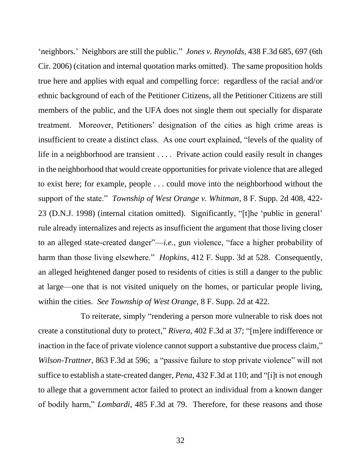'neighbors.' Neighbors are still the public." *Jones v. Reynolds*, 438 F.3d 685, 697 (6th Cir. 2006) (citation and internal quotation marks omitted). The same proposition holds true here and applies with equal and compelling force: regardless of the racial and/or ethnic background of each of the Petitioner Citizens, all the Petitioner Citizens are still members of the public, and the UFA does not single them out specially for disparate treatment. Moreover, Petitioners' designation of the cities as high crime areas is insufficient to create a distinct class. As one court explained, "levels of the quality of life in a neighborhood are transient . . . . Private action could easily result in changes in the neighborhood that would create opportunities for private violence that are alleged to exist here; for example, people . . . could move into the neighborhood without the support of the state." *Township of West Orange v. Whitman*, 8 F. Supp. 2d 408, 422- 23 (D.N.J. 1998) (internal citation omitted). Significantly, "[t]he 'public in general' rule already internalizes and rejects as insufficient the argument that those living closer to an alleged state-created danger"—*i.e.*, gun violence, "face a higher probability of harm than those living elsewhere." *Hopkins*, 412 F. Supp. 3d at 528. Consequently, an alleged heightened danger posed to residents of cities is still a danger to the public at large—one that is not visited uniquely on the homes, or particular people living, within the cities. *See Township of West Orange*, 8 F. Supp. 2d at 422.

To reiterate, simply "rendering a person more vulnerable to risk does not create a constitutional duty to protect," *Rivera*, 402 F.3d at 37; "[m]ere indifference or inaction in the face of private violence cannot support a substantive due process claim," *Wilson-Trattner*, 863 F.3d at 596; a "passive failure to stop private violence" will not suffice to establish a state-created danger, *Pena*, 432 F.3d at 110; and "[i]t is not enough to allege that a government actor failed to protect an individual from a known danger of bodily harm," *Lombardi*, 485 F.3d at 79. Therefore, for these reasons and those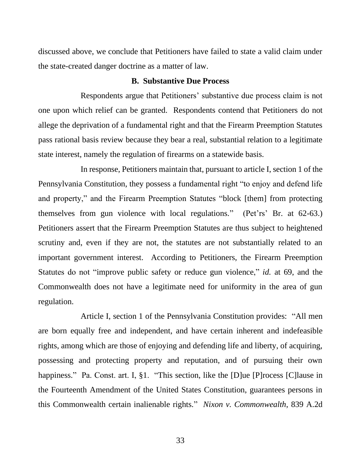discussed above, we conclude that Petitioners have failed to state a valid claim under the state-created danger doctrine as a matter of law.

#### **B. Substantive Due Process**

Respondents argue that Petitioners' substantive due process claim is not one upon which relief can be granted. Respondents contend that Petitioners do not allege the deprivation of a fundamental right and that the Firearm Preemption Statutes pass rational basis review because they bear a real, substantial relation to a legitimate state interest, namely the regulation of firearms on a statewide basis.

In response, Petitioners maintain that, pursuant to article I, section 1 of the Pennsylvania Constitution, they possess a fundamental right "to enjoy and defend life and property," and the Firearm Preemption Statutes "block [them] from protecting themselves from gun violence with local regulations." (Pet'rs' Br. at 62-63.) Petitioners assert that the Firearm Preemption Statutes are thus subject to heightened scrutiny and, even if they are not, the statutes are not substantially related to an important government interest. According to Petitioners, the Firearm Preemption Statutes do not "improve public safety or reduce gun violence," *id.* at 69, and the Commonwealth does not have a legitimate need for uniformity in the area of gun regulation.

Article I, section 1 of the Pennsylvania Constitution provides: "All men are born equally free and independent, and have certain inherent and indefeasible rights, among which are those of enjoying and defending life and liberty, of acquiring, possessing and protecting property and reputation, and of pursuing their own happiness." Pa. Const. art. I, §1. "This section, like the [D]ue [P]rocess [C] lause in the Fourteenth Amendment of the United States Constitution, guarantees persons in this Commonwealth certain inalienable rights." *Nixon v. Commonwealth*, 839 A.2d

33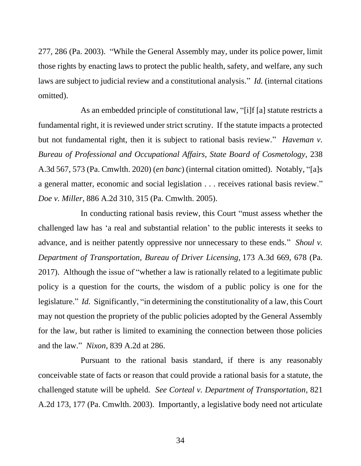277, 286 (Pa. 2003). "While the General Assembly may, under its police power, limit those rights by enacting laws to protect the public health, safety, and welfare, any such laws are subject to judicial review and a constitutional analysis." *Id.* (internal citations omitted).

As an embedded principle of constitutional law, "[i]f [a] statute restricts a fundamental right, it is reviewed under strict scrutiny. If the statute impacts a protected but not fundamental right, then it is subject to rational basis review." *Haveman v. Bureau of Professional and Occupational Affairs, State Board of Cosmetology*, 238 A.3d 567, 573 (Pa. Cmwlth. 2020) (*en banc*) (internal citation omitted). Notably, "[a]s a general matter, economic and social legislation . . . receives rational basis review." *Doe v. Miller*, 886 A.2d 310, 315 (Pa. Cmwlth. 2005).

In conducting rational basis review, this Court "must assess whether the challenged law has 'a real and substantial relation' to the public interests it seeks to advance, and is neither patently oppressive nor unnecessary to these ends." *Shoul v. Department of Transportation, Bureau of Driver Licensing,* 173 A.3d 669, 678 (Pa. 2017). Although the issue of "whether a law is rationally related to a legitimate public policy is a question for the courts, the wisdom of a public policy is one for the legislature." *Id.* Significantly, "in determining the constitutionality of a law, this Court may not question the propriety of the public policies adopted by the General Assembly for the law, but rather is limited to examining the connection between those policies and the law." *Nixon*, 839 A.2d at 286.

Pursuant to the rational basis standard, if there is any reasonably conceivable state of facts or reason that could provide a rational basis for a statute, the challenged statute will be upheld. *See Corteal v. Department of Transportation*, 821 A.2d 173, 177 (Pa. Cmwlth. 2003). Importantly, a legislative body need not articulate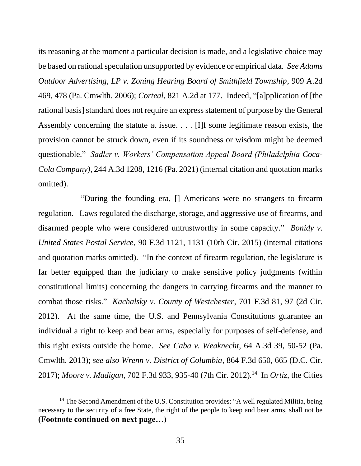its reasoning at the moment a particular decision is made, and a legislative choice may be based on rational speculation unsupported by evidence or empirical data. *See Adams Outdoor Advertising, LP v. Zoning Hearing Board of Smithfield Township*, 909 A.2d 469, 478 (Pa. Cmwlth. 2006); *Corteal*, 821 A.2d at 177. Indeed, "[a]pplication of [the rational basis] standard does not require an express statement of purpose by the General Assembly concerning the statute at issue. . . . [I]f some legitimate reason exists, the provision cannot be struck down, even if its soundness or wisdom might be deemed questionable." *Sadler v. Workers' Compensation Appeal Board (Philadelphia Coca-Cola Company)*, 244 A.3d 1208, 1216 (Pa. 2021) (internal citation and quotation marks omitted).

"During the founding era, [] Americans were no strangers to firearm regulation. Laws regulated the discharge, storage, and aggressive use of firearms, and disarmed people who were considered untrustworthy in some capacity." *Bonidy v. United States Postal Service*, 90 F.3d 1121, 1131 (10th Cir. 2015) (internal citations and quotation marks omitted). "In the context of firearm regulation, the legislature is far better equipped than the judiciary to make sensitive policy judgments (within constitutional limits) concerning the dangers in carrying firearms and the manner to combat those risks." *Kachalsky v. County of Westchester*, 701 F.3d 81, 97 (2d Cir. 2012). At the same time, the U.S. and Pennsylvania Constitutions guarantee an individual a right to keep and bear arms, especially for purposes of self-defense, and this right exists outside the home. *See Caba v. Weaknecht*, 64 A.3d 39, 50-52 (Pa. Cmwlth. 2013); *see also Wrenn v. District of Columbia*, 864 F.3d 650, 665 (D.C. Cir. 2017); *Moore v. Madigan*, 702 F.3d 933, 935-40 (7th Cir. 2012).<sup>14</sup> In *Ortiz*, the Cities

<sup>&</sup>lt;sup>14</sup> The Second Amendment of the U.S. Constitution provides: "A well regulated Militia, being necessary to the security of a free State, the right of the people to keep and bear arms, shall not be **(Footnote continued on next page…)**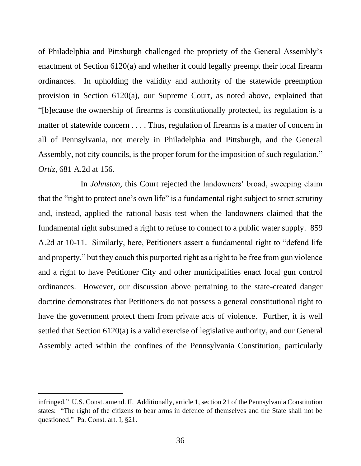of Philadelphia and Pittsburgh challenged the propriety of the General Assembly's enactment of Section 6120(a) and whether it could legally preempt their local firearm ordinances. In upholding the validity and authority of the statewide preemption provision in Section 6120(a), our Supreme Court, as noted above, explained that "[b]ecause the ownership of firearms is constitutionally protected, its regulation is a matter of statewide concern . . . . Thus, regulation of firearms is a matter of concern in all of Pennsylvania, not merely in Philadelphia and Pittsburgh, and the General Assembly, not city councils, is the proper forum for the imposition of such regulation." *Ortiz*, 681 A.2d at 156.

In *Johnston*, this Court rejected the landowners' broad, sweeping claim that the "right to protect one's own life" is a fundamental right subject to strict scrutiny and, instead, applied the rational basis test when the landowners claimed that the fundamental right subsumed a right to refuse to connect to a public water supply. 859 A.2d at 10-11. Similarly, here, Petitioners assert a fundamental right to "defend life and property," but they couch this purported right as a right to be free from gun violence and a right to have Petitioner City and other municipalities enact local gun control ordinances. However, our discussion above pertaining to the state-created danger doctrine demonstrates that Petitioners do not possess a general constitutional right to have the government protect them from private acts of violence. Further, it is well settled that Section 6120(a) is a valid exercise of legislative authority, and our General Assembly acted within the confines of the Pennsylvania Constitution, particularly

infringed." U.S. Const. amend. II. Additionally, article 1, section 21 of the Pennsylvania Constitution states: "The right of the citizens to bear arms in defence of themselves and the State shall not be questioned." Pa. Const. art. I, §21.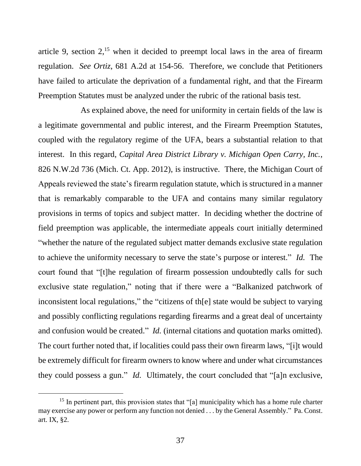article 9, section  $2<sup>15</sup>$  when it decided to preempt local laws in the area of firearm regulation. *See Ortiz*, 681 A.2d at 154-56. Therefore, we conclude that Petitioners have failed to articulate the deprivation of a fundamental right, and that the Firearm Preemption Statutes must be analyzed under the rubric of the rational basis test.

As explained above, the need for uniformity in certain fields of the law is a legitimate governmental and public interest, and the Firearm Preemption Statutes, coupled with the regulatory regime of the UFA, bears a substantial relation to that interest. In this regard, *Capital Area District Library v. Michigan Open Carry, Inc.*, 826 N.W.2d 736 (Mich. Ct. App. 2012), is instructive. There, the Michigan Court of Appeals reviewed the state's firearm regulation statute, which is structured in a manner that is remarkably comparable to the UFA and contains many similar regulatory provisions in terms of topics and subject matter. In deciding whether the doctrine of field preemption was applicable, the intermediate appeals court initially determined "whether the nature of the regulated subject matter demands exclusive state regulation to achieve the uniformity necessary to serve the state's purpose or interest." *Id.* The court found that "[t]he regulation of firearm possession undoubtedly calls for such exclusive state regulation," noting that if there were a "Balkanized patchwork of inconsistent local regulations," the "citizens of th[e] state would be subject to varying and possibly conflicting regulations regarding firearms and a great deal of uncertainty and confusion would be created." *Id.* (internal citations and quotation marks omitted). The court further noted that, if localities could pass their own firearm laws, "[i]t would be extremely difficult for firearm owners to know where and under what circumstances they could possess a gun." *Id.* Ultimately, the court concluded that "[a]n exclusive,

<sup>&</sup>lt;sup>15</sup> In pertinent part, this provision states that "[a] municipality which has a home rule charter may exercise any power or perform any function not denied . . . by the General Assembly." Pa. Const. art. IX, §2.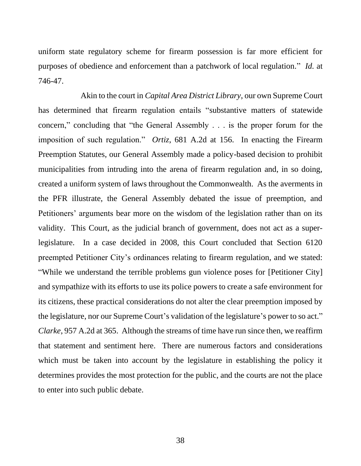uniform state regulatory scheme for firearm possession is far more efficient for purposes of obedience and enforcement than a patchwork of local regulation." *Id.* at 746-47.

Akin to the court in *Capital Area District Library*, our own Supreme Court has determined that firearm regulation entails "substantive matters of statewide concern," concluding that "the General Assembly . . . is the proper forum for the imposition of such regulation." *Ortiz*, 681 A.2d at 156. In enacting the Firearm Preemption Statutes, our General Assembly made a policy-based decision to prohibit municipalities from intruding into the arena of firearm regulation and, in so doing, created a uniform system of laws throughout the Commonwealth. As the averments in the PFR illustrate, the General Assembly debated the issue of preemption, and Petitioners' arguments bear more on the wisdom of the legislation rather than on its validity. This Court, as the judicial branch of government, does not act as a superlegislature. In a case decided in 2008, this Court concluded that Section 6120 preempted Petitioner City's ordinances relating to firearm regulation, and we stated: "While we understand the terrible problems gun violence poses for [Petitioner City] and sympathize with its efforts to use its police powers to create a safe environment for its citizens, these practical considerations do not alter the clear preemption imposed by the legislature, nor our Supreme Court's validation of the legislature's power to so act." *Clarke*, 957 A.2d at 365. Although the streams of time have run since then, we reaffirm that statement and sentiment here. There are numerous factors and considerations which must be taken into account by the legislature in establishing the policy it determines provides the most protection for the public, and the courts are not the place to enter into such public debate.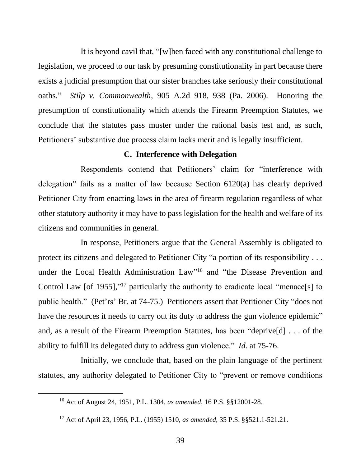It is beyond cavil that, "[w]hen faced with any constitutional challenge to legislation, we proceed to our task by presuming constitutionality in part because there exists a judicial presumption that our sister branches take seriously their constitutional oaths." *Stilp v. Commonwealth*, 905 A.2d 918, 938 (Pa. 2006). Honoring the presumption of constitutionality which attends the Firearm Preemption Statutes, we conclude that the statutes pass muster under the rational basis test and, as such, Petitioners' substantive due process claim lacks merit and is legally insufficient.

### **C. Interference with Delegation**

Respondents contend that Petitioners' claim for "interference with delegation" fails as a matter of law because Section 6120(a) has clearly deprived Petitioner City from enacting laws in the area of firearm regulation regardless of what other statutory authority it may have to pass legislation for the health and welfare of its citizens and communities in general.

In response, Petitioners argue that the General Assembly is obligated to protect its citizens and delegated to Petitioner City "a portion of its responsibility . . . under the Local Health Administration Law" <sup>16</sup> and "the Disease Prevention and Control Law [of 1955],"<sup>17</sup> particularly the authority to eradicate local "menace[s] to public health." (Pet'rs' Br. at 74-75.) Petitioners assert that Petitioner City "does not have the resources it needs to carry out its duty to address the gun violence epidemic" and, as a result of the Firearm Preemption Statutes, has been "deprive[d] . . . of the ability to fulfill its delegated duty to address gun violence." *Id.* at 75-76.

Initially, we conclude that, based on the plain language of the pertinent statutes, any authority delegated to Petitioner City to "prevent or remove conditions

<sup>16</sup> Act of August 24, 1951, P.L. 1304, *as amended*, 16 P.S. §§12001-28.

<sup>17</sup> Act of April 23, 1956, P.L. (1955) 1510, *as amended*, 35 P.S. §§521.1-521.21.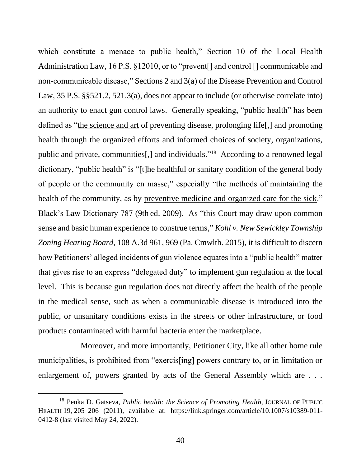which constitute a menace to public health," Section 10 of the Local Health Administration Law, 16 P.S. §12010, or to "prevent[] and control [] communicable and non-communicable disease," Sections 2 and 3(a) of the Disease Prevention and Control Law, 35 P.S. §§521.2, 521.3(a), does not appear to include (or otherwise correlate into) an authority to enact gun control laws. Generally speaking, "public health" has been defined as "the science and art of preventing disease, prolonging life[,] and promoting health through the organized efforts and informed choices of society, organizations, public and private, communities[,] and individuals."<sup>18</sup> According to a renowned legal dictionary, "public health" is "[t]he healthful or sanitary condition of the general body of people or the community en masse," especially "the methods of maintaining the health of the community, as by preventive medicine and organized care for the sick." Black's Law Dictionary 787 (9th ed. 2009). As "this Court may draw upon common sense and basic human experience to construe terms," *Kohl v. New Sewickley Township Zoning Hearing Board*, 108 A.3d 961, 969 (Pa. Cmwlth. 2015), it is difficult to discern how Petitioners' alleged incidents of gun violence equates into a "public health" matter that gives rise to an express "delegated duty" to implement gun regulation at the local level. This is because gun regulation does not directly affect the health of the people in the medical sense, such as when a communicable disease is introduced into the public, or unsanitary conditions exists in the streets or other infrastructure, or food products contaminated with harmful bacteria enter the marketplace.

Moreover, and more importantly, Petitioner City, like all other home rule municipalities, is prohibited from "exercis[ing] powers contrary to, or in limitation or enlargement of, powers granted by acts of the General Assembly which are . . .

<sup>&</sup>lt;sup>18</sup> Penka D. Gatseva, *Public health: the Science of Promoting Health*, JOURNAL OF PUBLIC HEALTH 19, 205–206 (2011), available at: [https://link.springer.com/article/10.1007/s10389-011-](https://link.springer.com/article/10.1007/s10389-011-0412-8) [0412-8](https://link.springer.com/article/10.1007/s10389-011-0412-8) (last visited May 24, 2022).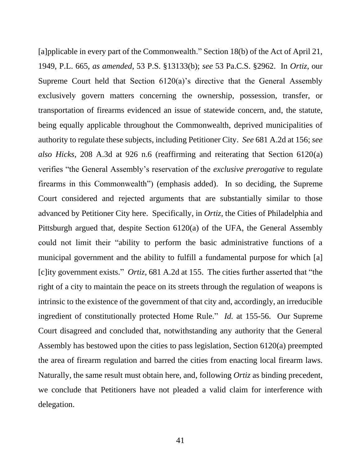[a]pplicable in every part of the Commonwealth." Section 18(b) of the Act of April 21, 1949, P.L. 665, *as amended*, 53 P.S. §13133(b); *see* 53 Pa.C.S. §2962. In *Ortiz*, our Supreme Court held that Section 6120(a)'s directive that the General Assembly exclusively govern matters concerning the ownership, possession, transfer, or transportation of firearms evidenced an issue of statewide concern, and, the statute, being equally applicable throughout the Commonwealth, deprived municipalities of authority to regulate these subjects, including Petitioner City. *See* 681 A.2d at 156; *see also Hicks*, 208 A.3d at 926 n.6 (reaffirming and reiterating that Section 6120(a) verifies "the General Assembly's reservation of the *exclusive prerogative* to regulate firearms in this Commonwealth") (emphasis added). In so deciding, the Supreme Court considered and rejected arguments that are substantially similar to those advanced by Petitioner City here. Specifically, in *Ortiz*, the Cities of Philadelphia and Pittsburgh argued that, despite Section 6120(a) of the UFA, the General Assembly could not limit their "ability to perform the basic administrative functions of a municipal government and the ability to fulfill a fundamental purpose for which [a] [c]ity government exists." *Ortiz*, 681 A.2d at 155. The cities further asserted that "the right of a city to maintain the peace on its streets through the regulation of weapons is intrinsic to the existence of the government of that city and, accordingly, an irreducible ingredient of constitutionally protected Home Rule." *Id.* at 155-56. Our Supreme Court disagreed and concluded that, notwithstanding any authority that the General Assembly has bestowed upon the cities to pass legislation, Section 6120(a) preempted the area of firearm regulation and barred the cities from enacting local firearm laws. Naturally, the same result must obtain here, and, following *Ortiz* as binding precedent, we conclude that Petitioners have not pleaded a valid claim for interference with delegation.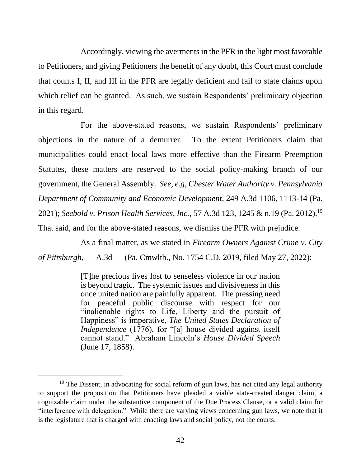Accordingly, viewing the averments in the PFR in the light most favorable to Petitioners, and giving Petitioners the benefit of any doubt, this Court must conclude that counts I, II, and III in the PFR are legally deficient and fail to state claims upon which relief can be granted. As such, we sustain Respondents' preliminary objection in this regard.

For the above-stated reasons, we sustain Respondents' preliminary objections in the nature of a demurrer. To the extent Petitioners claim that municipalities could enact local laws more effective than the Firearm Preemption Statutes, these matters are reserved to the social policy-making branch of our government, the General Assembly. *See, e.g*, *Chester Water Authority v. Pennsylvania Department of Community and Economic Development*, 249 A.3d 1106, 1113-14 (Pa. 2021); *Seebold v. Prison Health Services, Inc.*, 57 A.3d 123, 1245 & n.19 (Pa. 2012).<sup>19</sup> That said, and for the above-stated reasons, we dismiss the PFR with prejudice.

As a final matter, as we stated in *Firearm Owners Against Crime v. City of Pittsburgh*, \_\_ A.3d \_\_ (Pa. Cmwlth., No. 1754 C.D. 2019, filed May 27, 2022):

> [T]he precious lives lost to senseless violence in our nation is beyond tragic. The systemic issues and divisiveness in this once united nation are painfully apparent. The pressing need for peaceful public discourse with respect for our "inalienable rights to Life, Liberty and the pursuit of Happiness" is imperative, *The United States Declaration of Independence* (1776), for "[a] house divided against itself cannot stand." Abraham Lincoln's *House Divided Speech*  (June 17, 1858).

<sup>&</sup>lt;sup>19</sup> The Dissent, in advocating for social reform of gun laws, has not cited any legal authority to support the proposition that Petitioners have pleaded a viable state-created danger claim, a cognizable claim under the substantive component of the Due Process Clause, or a valid claim for "interference with delegation." While there are varying views concerning gun laws, we note that it is the legislature that is charged with enacting laws and social policy, not the courts.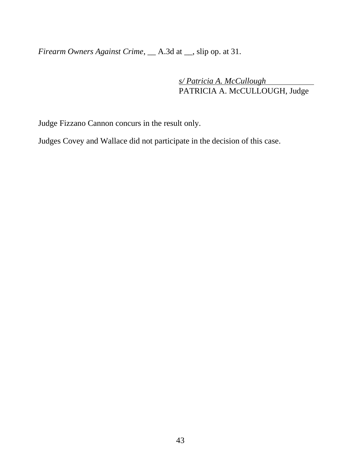*Firearm Owners Against Crime*, \_\_ A.3d at \_\_, slip op. at 31.

*s/ Patricia A. McCullough* PATRICIA A. McCULLOUGH, Judge

Judge Fizzano Cannon concurs in the result only.

Judges Covey and Wallace did not participate in the decision of this case.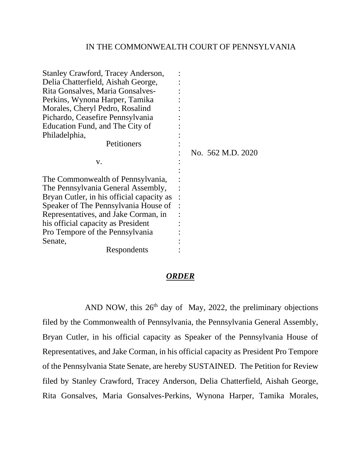#### IN THE COMMONWEALTH COURT OF PENNSYLVANIA

| Stanley Crawford, Tracey Anderson,<br>Delia Chatterfield, Aishah George,<br>Rita Gonsalves, Maria Gonsalves-<br>Perkins, Wynona Harper, Tamika<br>Morales, Cheryl Pedro, Rosalind<br>Pichardo, Ceasefire Pennsylvania<br>Education Fund, and The City of<br>Philadelphia, |                   |
|---------------------------------------------------------------------------------------------------------------------------------------------------------------------------------------------------------------------------------------------------------------------------|-------------------|
| Petitioners                                                                                                                                                                                                                                                               | No. 562 M.D. 2020 |
| V.                                                                                                                                                                                                                                                                        |                   |
| The Commonwealth of Pennsylvania,                                                                                                                                                                                                                                         |                   |
| The Pennsylvania General Assembly,<br>Bryan Cutler, in his official capacity as                                                                                                                                                                                           |                   |
| Speaker of The Pennsylvania House of                                                                                                                                                                                                                                      |                   |
| Representatives, and Jake Corman, in                                                                                                                                                                                                                                      |                   |
| his official capacity as President                                                                                                                                                                                                                                        |                   |
| Pro Tempore of the Pennsylvania                                                                                                                                                                                                                                           |                   |
| Senate,                                                                                                                                                                                                                                                                   |                   |
| Respondents                                                                                                                                                                                                                                                               |                   |

### *ORDER*

AND NOW, this  $26<sup>th</sup>$  day of May, 2022, the preliminary objections filed by the Commonwealth of Pennsylvania, the Pennsylvania General Assembly, Bryan Cutler, in his official capacity as Speaker of the Pennsylvania House of Representatives, and Jake Corman, in his official capacity as President Pro Tempore of the Pennsylvania State Senate, are hereby SUSTAINED. The Petition for Review filed by Stanley Crawford, Tracey Anderson, Delia Chatterfield, Aishah George, Rita Gonsalves, Maria Gonsalves-Perkins, Wynona Harper, Tamika Morales,